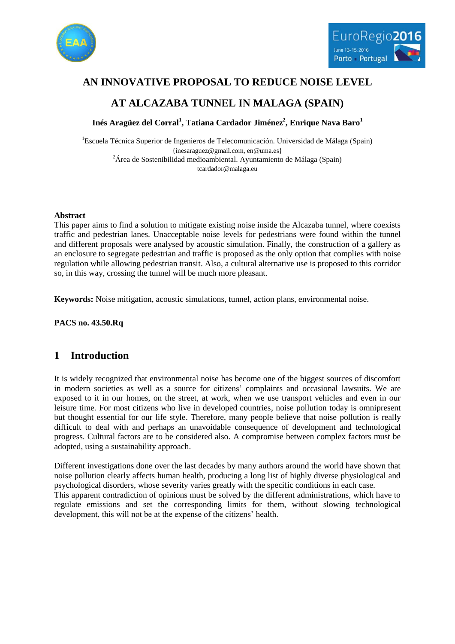



# **AN INNOVATIVE PROPOSAL TO REDUCE NOISE LEVEL**

# **AT ALCAZABA TUNNEL IN MALAGA (SPAIN)**

**Inés Aragüez del Corral<sup>1</sup> , Tatiana Cardador Jiménez<sup>2</sup> , Enrique Nava Baro<sup>1</sup>**

<sup>1</sup>Escuela Técnica Superior de Ingenieros de Telecomunicación. Universidad de Málaga (Spain) {inesaraguez@gmail.com, en@uma.es} <sup>2</sup>Área de Sostenibilidad medioambiental. Ayuntamiento de Málaga (Spain) tcardador@malaga.eu

#### **Abstract**

This paper aims to find a solution to mitigate existing noise inside the Alcazaba tunnel, where coexists traffic and pedestrian lanes. Unacceptable noise levels for pedestrians were found within the tunnel and different proposals were analysed by acoustic simulation. Finally, the construction of a gallery as an enclosure to segregate pedestrian and traffic is proposed as the only option that complies with noise regulation while allowing pedestrian transit. Also, a cultural alternative use is proposed to this corridor so, in this way, crossing the tunnel will be much more pleasant.

**Keywords:** Noise mitigation, acoustic simulations, tunnel, action plans, environmental noise.

**PACS no. 43.50.Rq**

## **1 Introduction**

It is widely recognized that environmental noise has become one of the biggest sources of discomfort in modern societies as well as a source for citizens" complaints and occasional lawsuits. We are exposed to it in our homes, on the street, at work, when we use transport vehicles and even in our leisure time. For most citizens who live in developed countries, noise pollution today is omnipresent but thought essential for our life style. Therefore, many people believe that noise pollution is really difficult to deal with and perhaps an unavoidable consequence of development and technological progress. Cultural factors are to be considered also. A compromise between complex factors must be adopted, using a sustainability approach.

Different investigations done over the last decades by many authors around the world have shown that noise pollution clearly affects human health, producing a long list of highly diverse physiological and psychological disorders, whose severity varies greatly with the specific conditions in each case.

This apparent contradiction of opinions must be solved by the different administrations, which have to regulate emissions and set the corresponding limits for them, without slowing technological development, this will not be at the expense of the citizens' health.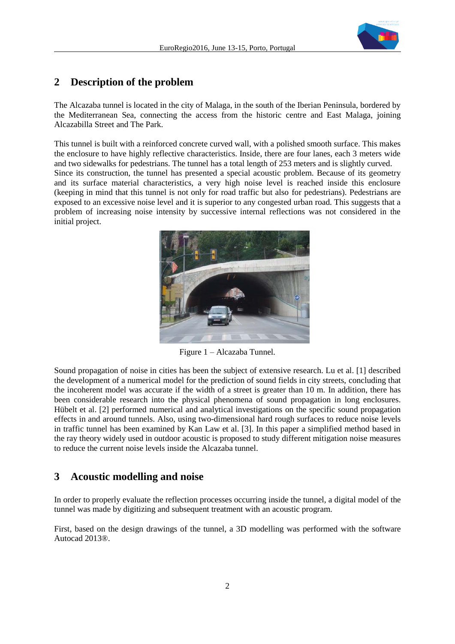

### **2 Description of the problem**

The Alcazaba tunnel is located in the city of Malaga, in the south of the Iberian Peninsula, bordered by the Mediterranean Sea, connecting the access from the historic centre and East Malaga, joining Alcazabilla Street and The Park.

This tunnel is built with a reinforced concrete curved wall, with a polished smooth surface. This makes the enclosure to have highly reflective characteristics. Inside, there are four lanes, each 3 meters wide and two sidewalks for pedestrians. The tunnel has a total length of 253 meters and is slightly curved. Since its construction, the tunnel has presented a special acoustic problem. Because of its geometry and its surface material characteristics, a very high noise level is reached inside this enclosure (keeping in mind that this tunnel is not only for road traffic but also for pedestrians). Pedestrians are exposed to an excessive noise level and it is superior to any congested urban road. This suggests that a problem of increasing noise intensity by successive internal reflections was not considered in the initial project.



Figure 1 – Alcazaba Tunnel.

Sound propagation of noise in cities has been the subject of extensive research. Lu et al. [1] described the development of a numerical model for the prediction of sound fields in city streets, concluding that the incoherent model was accurate if the width of a street is greater than 10 m. In addition, there has been considerable research into the physical phenomena of sound propagation in long enclosures. Hübelt et al. [2] performed numerical and analytical investigations on the specific sound propagation effects in and around tunnels. Also, using two-dimensional hard rough surfaces to reduce noise levels in traffic tunnel has been examined by Kan Law et al. [3]. In this paper a simplified method based in the ray theory widely used in outdoor acoustic is proposed to study different mitigation noise measures to reduce the current noise levels inside the Alcazaba tunnel.

## **3 Acoustic modelling and noise**

In order to properly evaluate the reflection processes occurring inside the tunnel, a digital model of the tunnel was made by digitizing and subsequent treatment with an acoustic program.

First, based on the design drawings of the tunnel, a 3D modelling was performed with the software Autocad 2013®.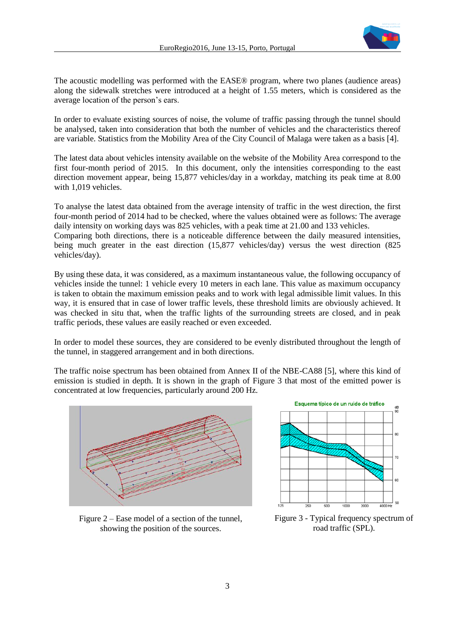

The acoustic modelling was performed with the EASE® program, where two planes (audience areas) along the sidewalk stretches were introduced at a height of 1.55 meters, which is considered as the average location of the person"s ears.

In order to evaluate existing sources of noise, the volume of traffic passing through the tunnel should be analysed, taken into consideration that both the number of vehicles and the characteristics thereof are variable. Statistics from the Mobility Area of the City Council of Malaga were taken as a basis [4].

The latest data about vehicles intensity available on the website of the Mobility Area correspond to the first four-month period of 2015. In this document, only the intensities corresponding to the east direction movement appear, being 15,877 vehicles/day in a workday, matching its peak time at 8.00 with 1,019 vehicles.

To analyse the latest data obtained from the average intensity of traffic in the west direction, the first four-month period of 2014 had to be checked, where the values obtained were as follows: The average daily intensity on working days was 825 vehicles, with a peak time at 21.00 and 133 vehicles. Comparing both directions, there is a noticeable difference between the daily measured intensities, being much greater in the east direction (15,877 vehicles/day) versus the west direction (825 vehicles/day).

By using these data, it was considered, as a maximum instantaneous value, the following occupancy of vehicles inside the tunnel: 1 vehicle every 10 meters in each lane. This value as maximum occupancy is taken to obtain the maximum emission peaks and to work with legal admissible limit values. In this way, it is ensured that in case of lower traffic levels, these threshold limits are obviously achieved. It was checked in situ that, when the traffic lights of the surrounding streets are closed, and in peak traffic periods, these values are easily reached or even exceeded.

In order to model these sources, they are considered to be evenly distributed throughout the length of the tunnel, in staggered arrangement and in both directions.

The traffic noise spectrum has been obtained from Annex II of the NBE-CA88 [5], where this kind of emission is studied in depth. It is shown in the graph of Figure 3 that most of the emitted power is concentrated at low frequencies, particularly around 200 Hz.



Figure 2 – Ease model of a section of the tunnel, showing the position of the sources.



Figure 3 - Typical frequency spectrum of road traffic (SPL).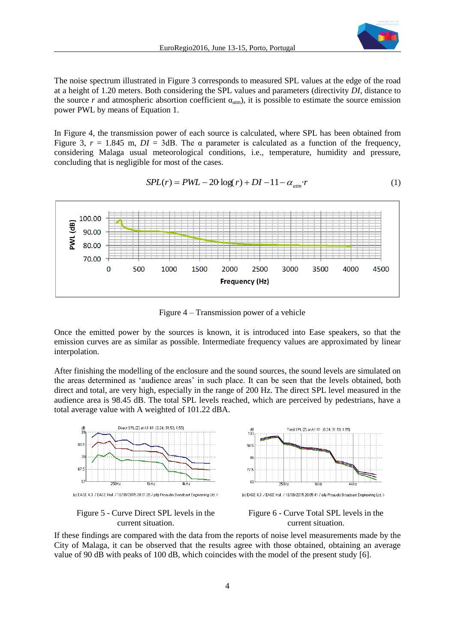

The noise spectrum illustrated in Figure 3 corresponds to measured SPL values at the edge of the road at a height of 1.20 meters. Both considering the SPL values and parameters (directivity *DI*, distance to the source *r* and atmospheric absortion coefficient  $\alpha_{\text{atm}}$ ), it is possible to estimate the source emission power PWL by means of Equation 1.

In Figure 4, the transmission power of each source is calculated, where SPL has been obtained from Figure 3,  $r = 1.845$  m,  $DI = 3dB$ . The  $\alpha$  parameter is calculated as a function of the frequency, considering Malaga usual meteorological conditions, i.e., temperature, humidity and pressure, concluding that is negligible for most of the cases.

$$
SPL(r) = PWL - 20 \log(r) + DI - 11 - \alpha_{\text{atm}} \cdot r \tag{1}
$$



Figure 4 – Transmission power of a vehicle

Once the emitted power by the sources is known, it is introduced into Ease speakers, so that the emission curves are as similar as possible. Intermediate frequency values are approximated by linear interpolation.

After finishing the modelling of the enclosure and the sound sources, the sound levels are simulated on the areas determined as "audience areas" in such place. It can be seen that the levels obtained, both direct and total, are very high, especially in the range of 200 Hz. The direct SPL level measured in the audience area is 98.45 dB. The total SPL levels reached, which are perceived by pedestrians, have a total average value with A weighted of 101.22 dBA.



Figure 5 - Curve Direct SPL levels in the current situation.



If these findings are compared with the data from the reports of noise level measurements made by the City of Malaga, it can be observed that the results agree with those obtained, obtaining an average value of 90 dB with peaks of 100 dB, which coincides with the model of the present study [6].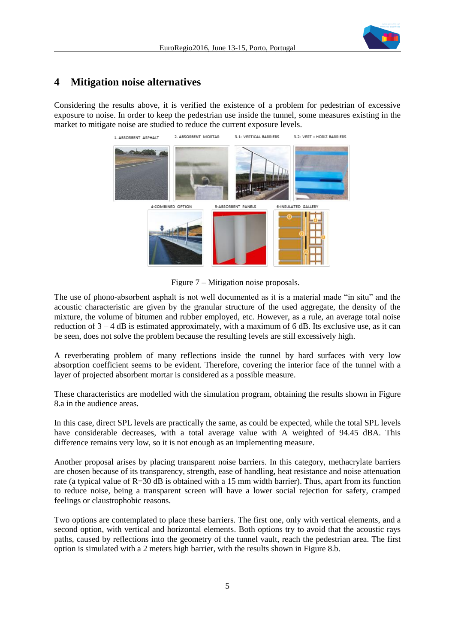## **4 Mitigation noise alternatives**

Considering the results above, it is verified the existence of a problem for pedestrian of excessive exposure to noise. In order to keep the pedestrian use inside the tunnel, some measures existing in the market to mitigate noise are studied to reduce the current exposure levels.



Figure 7 – Mitigation noise proposals.

The use of phono-absorbent asphalt is not well documented as it is a material made "in situ" and the acoustic characteristic are given by the granular structure of the used aggregate, the density of the mixture, the volume of bitumen and rubber employed, etc. However, as a rule, an average total noise reduction of  $3 - 4$  dB is estimated approximately, with a maximum of 6 dB. Its exclusive use, as it can be seen, does not solve the problem because the resulting levels are still excessively high.

A reverberating problem of many reflections inside the tunnel by hard surfaces with very low absorption coefficient seems to be evident. Therefore, covering the interior face of the tunnel with a layer of projected absorbent mortar is considered as a possible measure.

These characteristics are modelled with the simulation program, obtaining the results shown in Figure 8.a in the audience areas.

In this case, direct SPL levels are practically the same, as could be expected, while the total SPL levels have considerable decreases, with a total average value with A weighted of 94.45 dBA. This difference remains very low, so it is not enough as an implementing measure.

Another proposal arises by placing transparent noise barriers. In this category, methacrylate barriers are chosen because of its transparency, strength, ease of handling, heat resistance and noise attenuation rate (a typical value of R=30 dB is obtained with a 15 mm width barrier). Thus, apart from its function to reduce noise, being a transparent screen will have a lower social rejection for safety, cramped feelings or claustrophobic reasons.

Two options are contemplated to place these barriers. The first one, only with vertical elements, and a second option, with vertical and horizontal elements. Both options try to avoid that the acoustic rays paths, caused by reflections into the geometry of the tunnel vault, reach the pedestrian area. The first option is simulated with a 2 meters high barrier, with the results shown in Figure 8.b.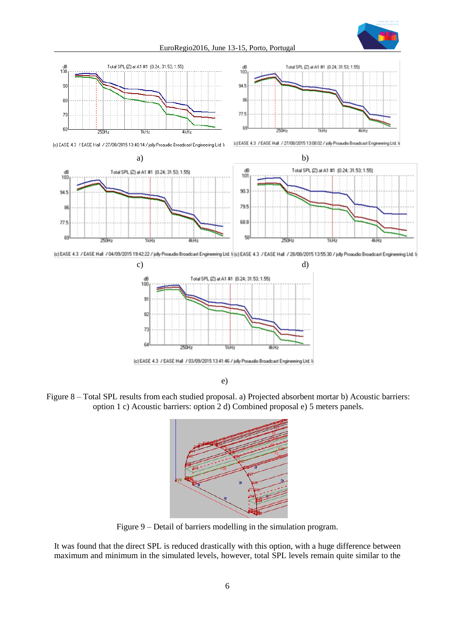







(c) EASE 4.3 / EASE Hall / 27/08/2015 13:08:02 / jolly Proaudio Broadcast Engineering Ltd. Is



(c) EASE 4.3 / EASE Hall / 04/03/2015 19:42:22 / jolly Proaudio Broadcast Engineering Ltd. Is (c) EASE 4.3 / EASE Hall / 28/08/2015 13:55:30 / jolly Proaudio Broadcast Engineering Ltd. Is



(c) EASE 4.3 / EASE Hall / 03/09/2015 13:41:46 / jolly Proaudio Broadcast Engineering Ltd. In

e)

Figure 8 – Total SPL results from each studied proposal. a) Projected absorbent mortar b) Acoustic barriers: option 1 c) Acoustic barriers: option 2 d) Combined proposal e) 5 meters panels.



Figure 9 – Detail of barriers modelling in the simulation program.

It was found that the direct SPL is reduced drastically with this option, with a huge difference between maximum and minimum in the simulated levels, however, total SPL levels remain quite similar to the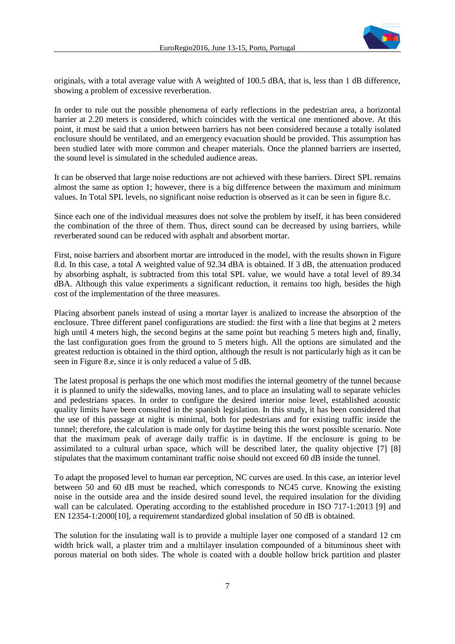

originals, with a total average value with A weighted of 100.5 dBA, that is, less than 1 dB difference, showing a problem of excessive reverberation.

In order to rule out the possible phenomena of early reflections in the pedestrian area, a horizontal barrier at 2.20 meters is considered, which coincides with the vertical one mentioned above. At this point, it must be said that a union between barriers has not been considered because a totally isolated enclosure should be ventilated, and an emergency evacuation should be provided. This assumption has been studied later with more common and cheaper materials. Once the planned barriers are inserted, the sound level is simulated in the scheduled audience areas.

It can be observed that large noise reductions are not achieved with these barriers. Direct SPL remains almost the same as option 1; however, there is a big difference between the maximum and minimum values. In Total SPL levels, no significant noise reduction is observed as it can be seen in figure 8.c.

Since each one of the individual measures does not solve the problem by itself, it has been considered the combination of the three of them. Thus, direct sound can be decreased by using barriers, while reverberated sound can be reduced with asphalt and absorbent mortar.

First, noise barriers and absorbent mortar are introduced in the model, with the results shown in Figure 8.d. In this case, a total A weighted value of 92.34 dBA is obtained. If 3 dB, the attenuation produced by absorbing asphalt, is subtracted from this total SPL value, we would have a total level of 89.34 dBA. Although this value experiments a significant reduction, it remains too high, besides the high cost of the implementation of the three measures.

Placing absorbent panels instead of using a mortar layer is analized to increase the absorption of the enclosure. Three different panel configurations are studied: the first with a line that begins at 2 meters high until 4 meters high, the second begins at the same point but reaching 5 meters high and, finally, the last configuration goes from the ground to 5 meters high. All the options are simulated and the greatest reduction is obtained in the third option, although the result is not particularly high as it can be seen in Figure 8.e, since it is only reduced a value of 5 dB.

The latest proposal is perhaps the one which most modifies the internal geometry of the tunnel because it is planned to unify the sidewalks, moving lanes, and to place an insulating wall to separate vehicles and pedestrians spaces. In order to configure the desired interior noise level, established acoustic quality limits have been consulted in the spanish legislation. In this study, it has been considered that the use of this passage at night is minimal, both for pedestrians and for existing traffic inside the tunnel; therefore, the calculation is made only for daytime being this the worst possible scenario. Note that the maximum peak of average daily traffic is in daytime. If the enclosure is going to be assimilated to a cultural urban space, which will be described later, the quality objective [7] [8] stipulates that the maximum contaminant traffic noise should not exceed 60 dB inside the tunnel.

To adapt the proposed level to human ear perception, NC curves are used. In this case, an interior level between 50 and 60 dB must be reached, which corresponds to NC45 curve. Knowing the existing noise in the outside area and the inside desired sound level, the required insulation for the dividing wall can be calculated. Operating according to the established procedure in ISO 717-1:2013 [9] and EN 12354-1:2000[10], a requirement standardized global insulation of 50 dB is obtained.

The solution for the insulating wall is to provide a multiple layer one composed of a standard 12 cm width brick wall, a plaster trim and a multilayer insulation compounded of a bituminous sheet with porous material on both sides. The whole is coated with a double hollow brick partition and plaster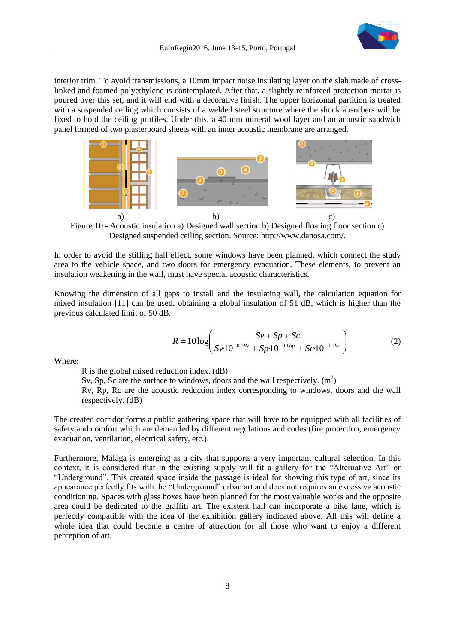

interior trim. To avoid transmissions, a 10mm impact noise insulating layer on the slab made of crosslinked and foamed polyethylene is contemplated. After that, a slightly reinforced protection mortar is poured over this set, and it will end with a decorative finish. The upper horizontal partition is treated with a suspended ceiling which consists of a welded steel structure where the shock absorbers will be fixed to hold the ceiling profiles. Under this, a 40 mm mineral wool layer and an acoustic sandwich panel formed of two plasterboard sheets with an inner acoustic membrane are arranged.



Figure 10 - Acoustic insulation a) Designed wall section b) Designed floating floor section c) Designed suspended ceiling section. Source: http://www.danosa.com/.

In order to avoid the stifling hall effect, some windows have been planned, which connect the study area to the vehicle space, and two doors for emergency evacuation. These elements, to prevent an insulation weakening in the wall, must have special acoustic characteristics.

Knowing the dimension of all gaps to install and the insulating wall, the calculation equation for mixed insulation [11] can be used, obtaining a global insulation of 51 dB, which is higher than the previous calculated limit of 50 dB.

$$
R = 10 \log \left( \frac{Sv + Sp + Sc}{Sv \cdot 10^{-0.1Rv} + Sp \cdot 10^{-0.1Rp} + Sc \cdot 10^{-0.1Rc}} \right) \tag{2}
$$

Where:

R is the global mixed reduction index. (dB)

Sv, Sp, Sc are the surface to windows, doors and the wall respectively.  $(m<sup>2</sup>)$ Rv, Rp, Rc are the acoustic reduction index corresponding to windows, doors and the wall respectively. (dB)

The created corridor forms a public gathering space that will have to be equipped with all facilities of safety and comfort which are demanded by different regulations and codes (fire protection, emergency evacuation, ventilation, electrical safety, etc.).

Furthermore, Malaga is emerging as a city that supports a very important cultural selection. In this context, it is considered that in the existing supply will fit a gallery for the "Alternative Art" or "Underground". This created space inside the passage is ideal for showing this type of art, since its appearance perfectly fits with the "Underground" urban art and does not requires an excessive acoustic conditioning. Spaces with glass boxes have been planned for the most valuable works and the opposite area could be dedicated to the graffiti art. The existent hall can incorporate a bike lane, which is perfectly compatible with the idea of the exhibition gallery indicated above. All this will define a whole idea that could become a centre of attraction for all those who want to enjoy a different perception of art.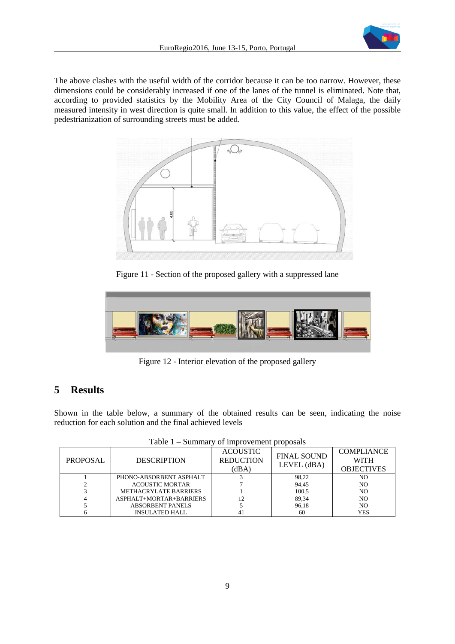

The above clashes with the useful width of the corridor because it can be too narrow. However, these dimensions could be considerably increased if one of the lanes of the tunnel is eliminated. Note that, according to provided statistics by the Mobility Area of the City Council of Malaga, the daily measured intensity in west direction is quite small. In addition to this value, the effect of the possible pedestrianization of surrounding streets must be added.



Figure 11 - Section of the proposed gallery with a suppressed lane



Figure 12 - Interior elevation of the proposed gallery

## **5 Results**

Shown in the table below, a summary of the obtained results can be seen, indicating the noise reduction for each solution and the final achieved levels

| PROPOSAL | <b>DESCRIPTION</b>           | <b>ACOUSTIC</b><br><b>REDUCTION</b><br>(dBA) | <b>FINAL SOUND</b><br>LEVEL (dBA) | <b>COMPLIANCE</b><br><b>WITH</b><br><b>OBJECTIVES</b> |
|----------|------------------------------|----------------------------------------------|-----------------------------------|-------------------------------------------------------|
|          | PHONO-ABSORBENT ASPHALT      |                                              | 98,22                             | NO                                                    |
|          | <b>ACOUSTIC MORTAR</b>       |                                              | 94,45                             | NO                                                    |
|          | <b>METHACRYLATE BARRIERS</b> |                                              | 100,5                             | N <sub>O</sub>                                        |
|          | ASPHALT+MORTAR+BARRIERS      |                                              | 89,34                             | N <sub>O</sub>                                        |
|          | <b>ABSORBENT PANELS</b>      |                                              | 96,18                             | N <sub>O</sub>                                        |
|          | <b>INSULATED HALL</b>        | 41                                           | 60                                | <b>YES</b>                                            |

| Table 1 – Summary of improvement proposals |  |  |
|--------------------------------------------|--|--|
|                                            |  |  |